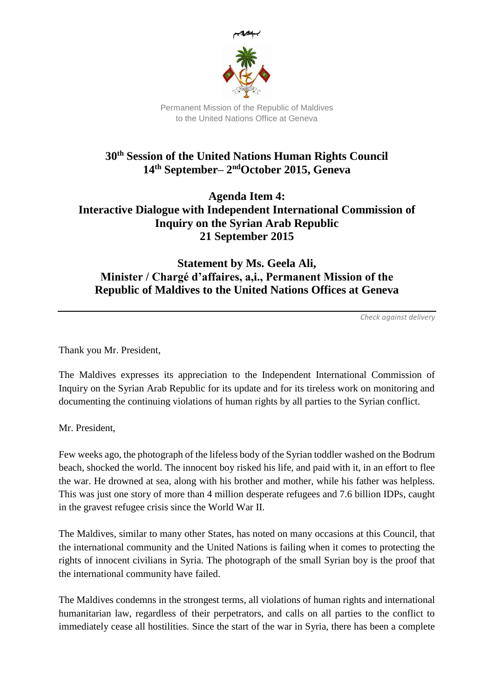

Permanent Mission of the Republic of Maldives to the United Nations Office at Geneva

## **30th Session of the United Nations Human Rights Council 14th September– 2 ndOctober 2015, Geneva**

## **Agenda Item 4: Interactive Dialogue with Independent International Commission of Inquiry on the Syrian Arab Republic 21 September 2015**

## **Statement by Ms. Geela Ali, Minister / Chargé d'affaires, a,i., Permanent Mission of the Republic of Maldives to the United Nations Offices at Geneva**

*Check against delivery*

Thank you Mr. President,

The Maldives expresses its appreciation to the Independent International Commission of Inquiry on the Syrian Arab Republic for its update and for its tireless work on monitoring and documenting the continuing violations of human rights by all parties to the Syrian conflict.

Mr. President,

Few weeks ago, the photograph of the lifeless body of the Syrian toddler washed on the Bodrum beach, shocked the world. The innocent boy risked his life, and paid with it, in an effort to flee the war. He drowned at sea, along with his brother and mother, while his father was helpless. This was just one story of more than 4 million desperate refugees and 7.6 billion IDPs, caught in the gravest refugee crisis since the World War II.

The Maldives, similar to many other States, has noted on many occasions at this Council, that the international community and the United Nations is failing when it comes to protecting the rights of innocent civilians in Syria. The photograph of the small Syrian boy is the proof that the international community have failed.

The Maldives condemns in the strongest terms, all violations of human rights and international humanitarian law, regardless of their perpetrators, and calls on all parties to the conflict to immediately cease all hostilities. Since the start of the war in Syria, there has been a complete